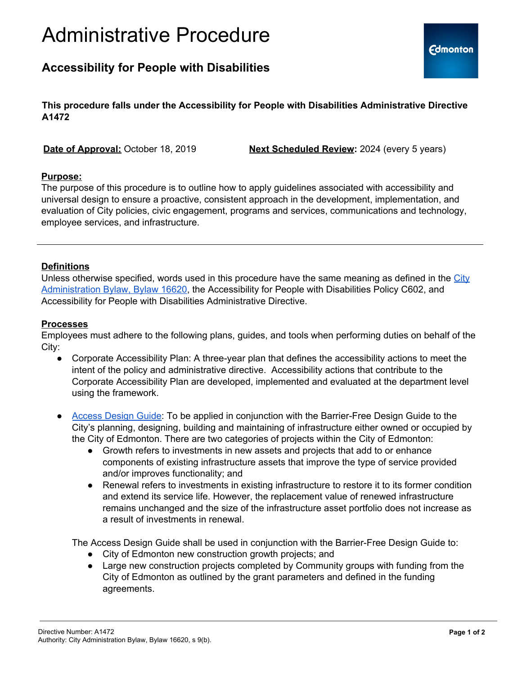# Administrative Procedure

## **Accessibility for People with Disabilities**

**This procedure falls under the Accessibility for People with Disabilities Administrative Directive A1472**

**Date of Approval:** October 18, 2019 **Next Scheduled Review:** 2024 (every 5 years)

#### **Purpose:**

The purpose of this procedure is to outline how to apply guidelines associated with accessibility and universal design to ensure a proactive, consistent approach in the development, implementation, and evaluation of City policies, civic engagement, programs and services, communications and technology, employee services, and infrastructure.

#### **Definitions**

Unless otherwise specified, words used in this procedure have the same meaning as defined in the [City](https://www.edmonton.ca/city_government/documents/Bylaws/C16620.pdf) [Administration](https://www.edmonton.ca/city_government/documents/Bylaws/C16620.pdf) Bylaw, Bylaw 16620, the Accessibility for People with Disabilities Policy C602, and Accessibility for People with Disabilities Administrative Directive.

#### **Processes**

Employees must adhere to the following plans, guides, and tools when performing duties on behalf of the City:

- Corporate Accessibility Plan: A three-year plan that defines the accessibility actions to meet the intent of the policy and administrative directive. Accessibility actions that contribute to the Corporate Accessibility Plan are developed, implemented and evaluated at the department level using the framework.
- [Access](https://www.edmonton.ca/programs_services/documents/PDF/AFE-AccessDesignGuide.pdf) Design Guide: To be applied in conjunction with the Barrier-Free Design Guide to the City's planning, designing, building and maintaining of infrastructure either owned or occupied by the City of Edmonton. There are two categories of projects within the City of Edmonton:
	- Growth refers to investments in new assets and projects that add to or enhance components of existing infrastructure assets that improve the type of service provided and/or improves functionality; and
	- Renewal refers to investments in existing infrastructure to restore it to its former condition and extend its service life. However, the replacement value of renewed infrastructure remains unchanged and the size of the infrastructure asset portfolio does not increase as a result of investments in renewal.

The Access Design Guide shall be used in conjunction with the Barrier-Free Design Guide to:

- City of Edmonton new construction growth projects; and
- Large new construction projects completed by Community groups with funding from the City of Edmonton as outlined by the grant parameters and defined in the funding agreements.